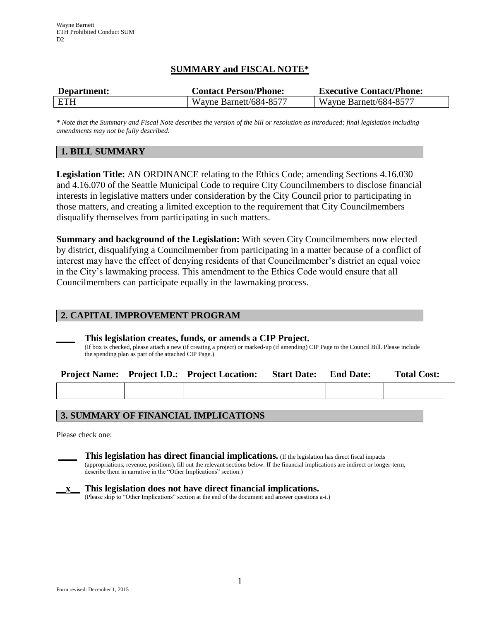# **SUMMARY and FISCAL NOTE\***

| Department: | <b>Contact Person/Phone:</b> | <b>Executive Contact/Phone:</b> |  |  |
|-------------|------------------------------|---------------------------------|--|--|
| ETH         | Wayne Barnett/684-8577       | Wayne Barnett/684-8577          |  |  |

*\* Note that the Summary and Fiscal Note describes the version of the bill or resolution as introduced; final legislation including amendments may not be fully described.*

# **1. BILL SUMMARY**

**Legislation Title:** AN ORDINANCE relating to the Ethics Code; amending Sections 4.16.030 and 4.16.070 of the Seattle Municipal Code to require City Councilmembers to disclose financial interests in legislative matters under consideration by the City Council prior to participating in those matters, and creating a limited exception to the requirement that City Councilmembers disqualify themselves from participating in such matters.

**Summary and background of the Legislation:** With seven City Councilmembers now elected by district, disqualifying a Councilmember from participating in a matter because of a conflict of interest may have the effect of denying residents of that Councilmember's district an equal voice in the City's lawmaking process. This amendment to the Ethics Code would ensure that all Councilmembers can participate equally in the lawmaking process.

## **2. CAPITAL IMPROVEMENT PROGRAM**

#### **\_\_\_\_ This legislation creates, funds, or amends a CIP Project.**

(If box is checked, please attach a new (if creating a project) or marked-up (if amending) CIP Page to the Council Bill. Please include the spending plan as part of the attached CIP Page.)

|  | <b>Project Name:</b> Project I.D.: Project Location: | <b>Start Date:</b> | <b>End Date:</b> | <b>Total Cost:</b> |  |
|--|------------------------------------------------------|--------------------|------------------|--------------------|--|
|  |                                                      |                    |                  |                    |  |

## **3. SUMMARY OF FINANCIAL IMPLICATIONS**

Please check one:

**\_\_\_\_ This legislation has direct financial implications***.* (If the legislation has direct fiscal impacts (appropriations, revenue, positions), fill out the relevant sections below. If the financial implications are indirect or longer-term, describe them in narrative in the "Other Implications" section.)



(Please skip to "Other Implications" section at the end of the document and answer questions a-i.)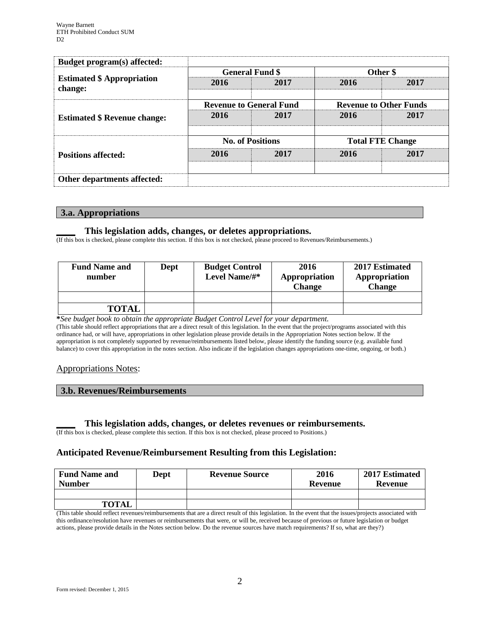| Budget program(s) affected:                  |                         |                                |                               |      |  |
|----------------------------------------------|-------------------------|--------------------------------|-------------------------------|------|--|
|                                              |                         | <b>General Fund \$</b>         | Other \$                      |      |  |
| <b>Estimated \$ Appropriation</b><br>change: | 2016                    | 2017                           | 2016                          | 2017 |  |
|                                              |                         | <b>Revenue to General Fund</b> | <b>Revenue to Other Funds</b> |      |  |
| <b>Estimated \$ Revenue change:</b>          | 2016                    | 2017                           | 2016                          | 2017 |  |
|                                              | <b>No. of Positions</b> |                                | <b>Total FTE Change</b>       |      |  |
| <b>Positions affected:</b>                   | 2016                    | 2017                           | 2016                          | 2017 |  |
| Other departments affected:                  |                         |                                |                               |      |  |

### **3.a. Appropriations**

### **\_\_\_\_ This legislation adds, changes, or deletes appropriations.**

(If this box is checked, please complete this section. If this box is not checked, please proceed to Revenues/Reimbursements.)

| <b>Fund Name and</b><br>number | Dept | <b>Budget Control</b><br>Level Name/#* | 2016<br>Appropriation<br><b>Change</b> | 2017 Estimated<br>Appropriation<br>Change |
|--------------------------------|------|----------------------------------------|----------------------------------------|-------------------------------------------|
| <b>TOTAL</b>                   |      |                                        |                                        |                                           |

**\****See budget book to obtain the appropriate Budget Control Level for your department.*

(This table should reflect appropriations that are a direct result of this legislation. In the event that the project/programs associated with this ordinance had, or will have, appropriations in other legislation please provide details in the Appropriation Notes section below. If the appropriation is not completely supported by revenue/reimbursements listed below, please identify the funding source (e.g. available fund balance) to cover this appropriation in the notes section. Also indicate if the legislation changes appropriations one-time, ongoing, or both.)

## Appropriations Notes:

#### **3.b. Revenues/Reimbursements**

#### **\_\_\_\_ This legislation adds, changes, or deletes revenues or reimbursements.**

(If this box is checked, please complete this section. If this box is not checked, please proceed to Positions.)

## **Anticipated Revenue/Reimbursement Resulting from this Legislation:**

| <b>Fund Name and</b><br><b>Number</b> | Dept | <b>Revenue Source</b> | 2016<br>Revenue | 2017 Estimated<br><b>Revenue</b> |
|---------------------------------------|------|-----------------------|-----------------|----------------------------------|
|                                       |      |                       |                 |                                  |
| TOTAL                                 |      |                       |                 |                                  |

(This table should reflect revenues/reimbursements that are a direct result of this legislation. In the event that the issues/projects associated with this ordinance/resolution have revenues or reimbursements that were, or will be, received because of previous or future legislation or budget actions, please provide details in the Notes section below. Do the revenue sources have match requirements? If so, what are they?)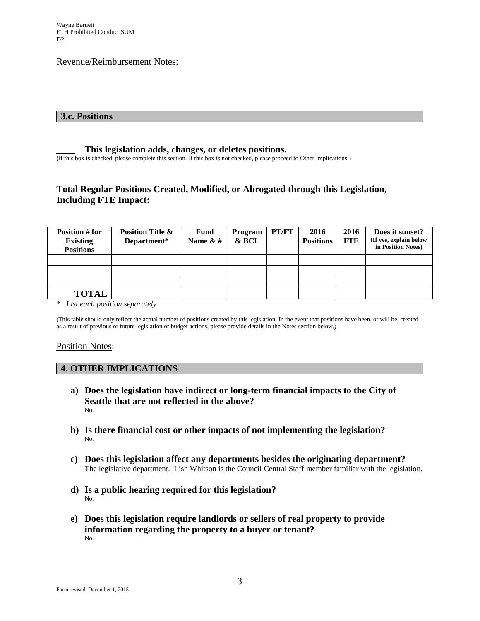### Revenue/Reimbursement Notes:

## **3.c. Positions**

### **\_\_\_\_ This legislation adds, changes, or deletes positions.**

(If this box is checked, please complete this section. If this box is not checked, please proceed to Other Implications.)

# **Total Regular Positions Created, Modified, or Abrogated through this Legislation, Including FTE Impact:**

| Position # for<br><b>Existing</b><br><b>Positions</b> | <b>Position Title &amp;</b><br>Department* | <b>Fund</b><br>Name $\& \#$ | Program<br>& BCL | PT/FT | 2016<br><b>Positions</b> | 2016<br><b>FTE</b> | Does it sunset?<br>(If yes, explain below<br>in Position Notes) |
|-------------------------------------------------------|--------------------------------------------|-----------------------------|------------------|-------|--------------------------|--------------------|-----------------------------------------------------------------|
|                                                       |                                            |                             |                  |       |                          |                    |                                                                 |
|                                                       |                                            |                             |                  |       |                          |                    |                                                                 |
|                                                       |                                            |                             |                  |       |                          |                    |                                                                 |
| <b>TOTAL</b>                                          |                                            |                             |                  |       |                          |                    |                                                                 |

*\* List each position separately*

(This table should only reflect the actual number of positions created by this legislation. In the event that positions have been, or will be, created as a result of previous or future legislation or budget actions, please provide details in the Notes section below.)

#### Position Notes:

#### **4. OTHER IMPLICATIONS**

- **a) Does the legislation have indirect or long-term financial impacts to the City of Seattle that are not reflected in the above?** No.
- **b) Is there financial cost or other impacts of not implementing the legislation?** No.
- **c) Does this legislation affect any departments besides the originating department?** The legislative department. Lish Whitson is the Council Central Staff member familiar with the legislation.
- **d) Is a public hearing required for this legislation?** No.
- **e) Does this legislation require landlords or sellers of real property to provide information regarding the property to a buyer or tenant?** No.